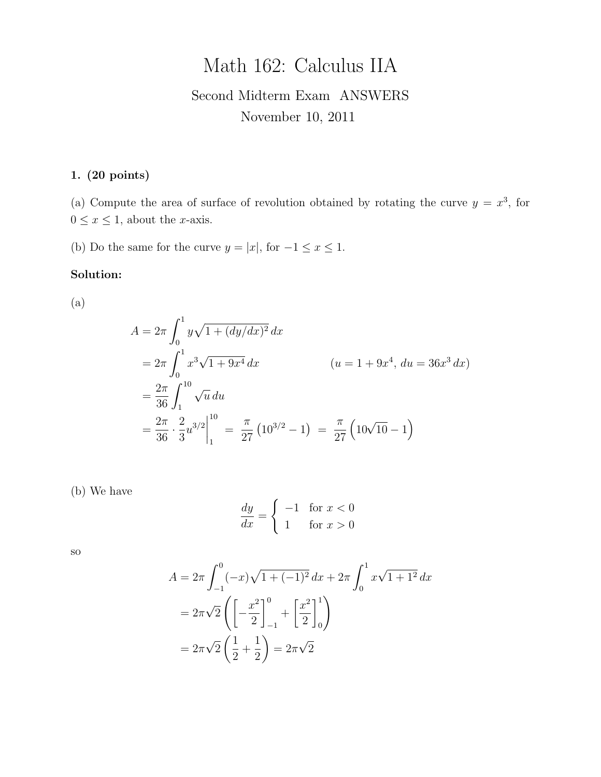# Math 162: Calculus IIA

# Second Midterm Exam ANSWERS November 10, 2011

## 1. (20 points)

(a) Compute the area of surface of revolution obtained by rotating the curve  $y = x^3$ , for  $0\leq x\leq 1,$  about the x-axis.

(b) Do the same for the curve  $y = |x|$ , for  $-1 \le x \le 1$ .

#### Solution:

(a)

$$
A = 2\pi \int_0^1 y\sqrt{1 + (dy/dx)^2} dx
$$
  
=  $2\pi \int_0^1 x^3 \sqrt{1 + 9x^4} dx$   $(u = 1 + 9x^4, du = 36x^3 dx)$   
=  $\frac{2\pi}{36} \int_1^{10} \sqrt{u} du$   
=  $\frac{2\pi}{36} \cdot \frac{2}{3} u^{3/2} \Big|_1^{10} = \frac{\pi}{27} (10^{3/2} - 1) = \frac{\pi}{27} (10\sqrt{10} - 1)$ 

(b) We have

$$
\frac{dy}{dx} = \begin{cases}\n-1 & \text{for } x < 0 \\
1 & \text{for } x > 0\n\end{cases}
$$

so

$$
A = 2\pi \int_{-1}^{0} (-x)\sqrt{1 + (-1)^2} \, dx + 2\pi \int_{0}^{1} x\sqrt{1 + 1^2} \, dx
$$

$$
= 2\pi \sqrt{2} \left( \left[ -\frac{x^2}{2} \right]_{-1}^{0} + \left[ \frac{x^2}{2} \right]_{0}^{1} \right)
$$

$$
= 2\pi \sqrt{2} \left( \frac{1}{2} + \frac{1}{2} \right) = 2\pi \sqrt{2}
$$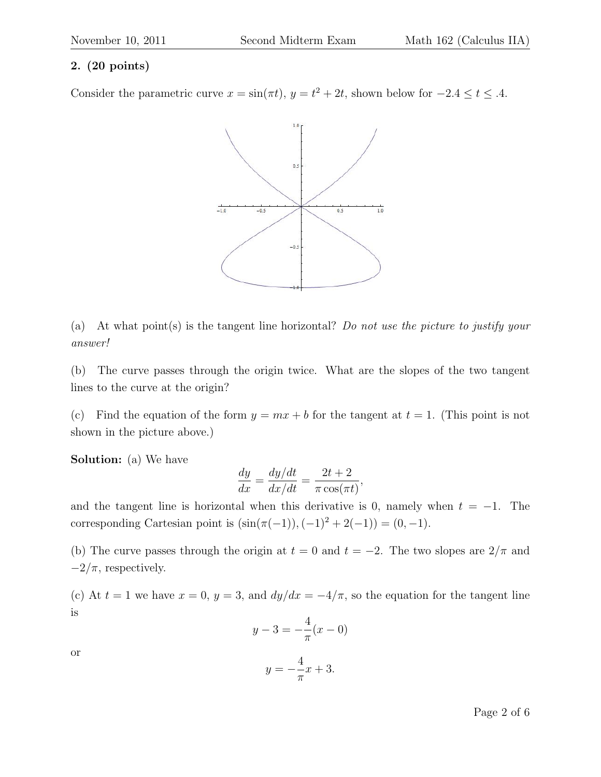#### 2. (20 points)

Consider the parametric curve  $x = \sin(\pi t)$ ,  $y = t^2 + 2t$ , shown below for  $-2.4 \le t \le .4$ .



(a) At what point(s) is the tangent line horizontal? Do not use the picture to justify your answer!

(b) The curve passes through the origin twice. What are the slopes of the two tangent lines to the curve at the origin?

(c) Find the equation of the form  $y = mx + b$  for the tangent at  $t = 1$ . (This point is not shown in the picture above.)

Solution: (a) We have

$$
\frac{dy}{dx} = \frac{dy/dt}{dx/dt} = \frac{2t+2}{\pi \cos(\pi t)},
$$

and the tangent line is horizontal when this derivative is 0, namely when  $t = -1$ . The corresponding Cartesian point is  $(\sin(\pi(-1)), (-1)^2 + 2(-1)) = (0, -1)$ .

(b) The curve passes through the origin at  $t = 0$  and  $t = -2$ . The two slopes are  $2/\pi$  and  $-2/\pi$ , respectively.

(c) At  $t = 1$  we have  $x = 0$ ,  $y = 3$ , and  $dy/dx = -4/\pi$ , so the equation for the tangent line is

$$
y - 3 = -\frac{4}{\pi}(x - 0)
$$

or

$$
y = -\frac{4}{\pi}x + 3.
$$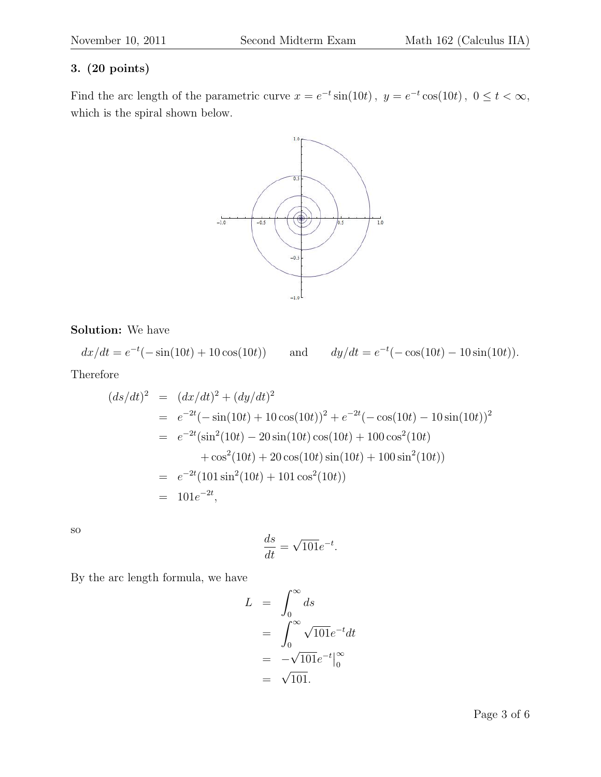### 3. (20 points)

Find the arc length of the parametric curve  $x = e^{-t} \sin(10t)$ ,  $y = e^{-t} \cos(10t)$ ,  $0 \le t < \infty$ , which is the spiral shown below.



Solution: We have

 $dx/dt = e^{-t}(-\sin(10t) + 10\cos(10t))$  and  $dy/dt = e$  $t^{-t}$ ( $-\cos(10t) - 10\sin(10t)$ ).

Therefore

$$
(ds/dt)^2 = (dx/dt)^2 + (dy/dt)^2
$$
  
=  $e^{-2t}(-\sin(10t) + 10\cos(10t))^2 + e^{-2t}(-\cos(10t) - 10\sin(10t))^2$   
=  $e^{-2t}(\sin^2(10t) - 20\sin(10t)\cos(10t) + 100\cos^2(10t)$   
+  $\cos^2(10t) + 20\cos(10t)\sin(10t) + 100\sin^2(10t)$   
=  $e^{-2t}(101\sin^2(10t) + 101\cos^2(10t))$   
=  $101e^{-2t}$ ,

so

$$
\frac{ds}{dt} = \sqrt{101}e^{-t}.
$$

By the arc length formula, we have

$$
L = \int_0^\infty ds
$$
  
= 
$$
\int_0^\infty \sqrt{101} e^{-t} dt
$$
  
= 
$$
-\sqrt{101} e^{-t} \Big|_0^\infty
$$
  
= 
$$
\sqrt{101}.
$$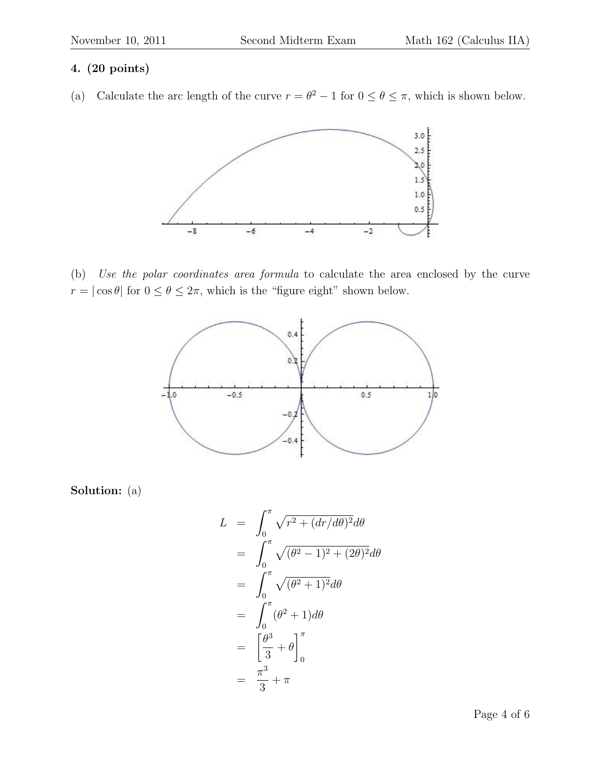# 4. (20 points)

(a) Calculate the arc length of the curve  $r = \theta^2 - 1$  for  $0 \le \theta \le \pi$ , which is shown below.



(b) Use the polar coordinates area formula to calculate the area enclosed by the curve  $r=|\cos\theta|$  for  $0\leq\theta\leq2\pi,$  which is the "figure eight" shown below.



Solution: (a)

$$
L = \int_0^{\pi} \sqrt{r^2 + (dr/d\theta)^2} d\theta
$$
  
= 
$$
\int_0^{\pi} \sqrt{(\theta^2 - 1)^2 + (2\theta)^2} d\theta
$$
  
= 
$$
\int_0^{\pi} \sqrt{(\theta^2 + 1)^2} d\theta
$$
  
= 
$$
\int_0^{\pi} (\theta^2 + 1) d\theta
$$
  
= 
$$
\left[\frac{\theta^3}{3} + \theta\right]_0^{\pi}
$$
  
= 
$$
\frac{\pi^3}{3} + \pi
$$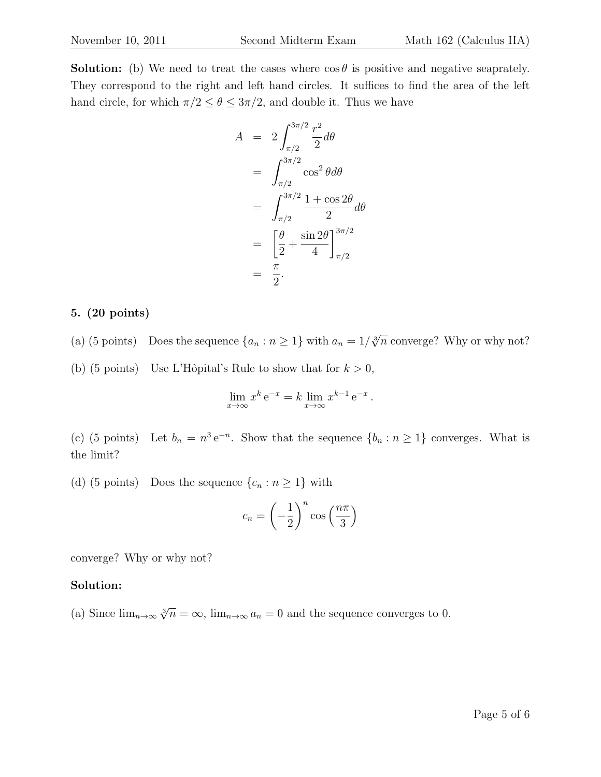**Solution:** (b) We need to treat the cases where  $\cos \theta$  is positive and negative seaprately. They correspond to the right and left hand circles. It suffices to find the area of the left hand circle, for which  $\pi/2 \leq \theta \leq 3\pi/2,$  and double it. Thus we have

$$
A = 2 \int_{\pi/2}^{3\pi/2} \frac{r^2}{2} d\theta
$$
  
= 
$$
\int_{\pi/2}^{3\pi/2} \cos^2 \theta d\theta
$$
  
= 
$$
\int_{\pi/2}^{3\pi/2} \frac{1 + \cos 2\theta}{2} d\theta
$$
  
= 
$$
\left[ \frac{\theta}{2} + \frac{\sin 2\theta}{4} \right]_{\pi/2}^{3\pi/2}
$$
  
= 
$$
\frac{\pi}{2}.
$$

#### 5. (20 points)

- (a) (5 points) Does the sequence  $\{a_n : n \geq 1\}$  with  $a_n = 1/\sqrt[3]{n}$  converge? Why or why not?
- (b) (5 points) Use L'Hôpital's Rule to show that for  $k > 0$ ,

$$
\lim_{x \to \infty} x^k e^{-x} = k \lim_{x \to \infty} x^{k-1} e^{-x}.
$$

(c) (5 points) Let  $b_n = n^3 e^{-n}$ . Show that the sequence  $\{b_n : n \ge 1\}$  converges. What is the limit?

(d) (5 points) Does the sequence  $\{c_n : n \geq 1\}$  with

$$
c_n = \left(-\frac{1}{2}\right)^n \cos\left(\frac{n\pi}{3}\right)
$$

converge? Why or why not?

#### Solution:

(a) Since  $\lim_{n\to\infty} \sqrt[n]{n} = \infty$ ,  $\lim_{n\to\infty} a_n = 0$  and the sequence converges to 0.